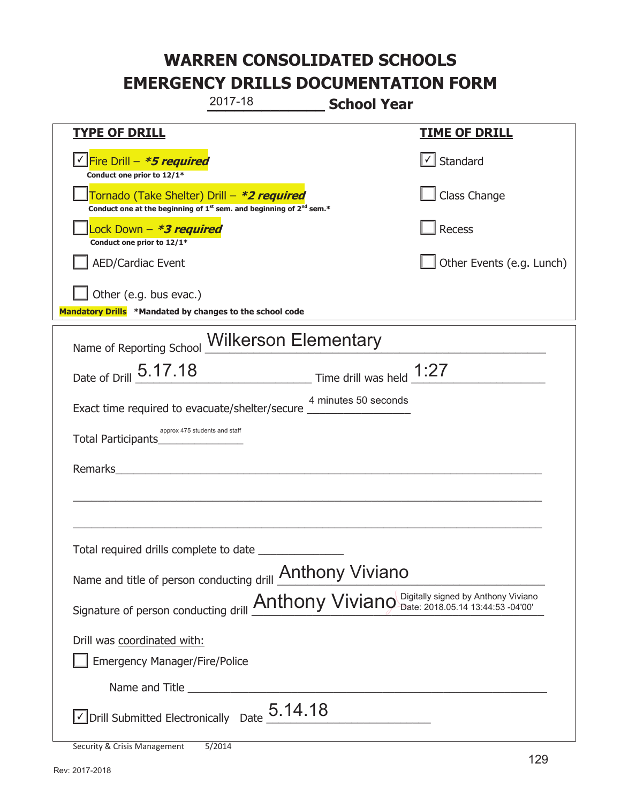|                                                                                                                                           | 2017-18                                               | <b>School Year</b>   |                           |
|-------------------------------------------------------------------------------------------------------------------------------------------|-------------------------------------------------------|----------------------|---------------------------|
| <u>TYPE OF DRILL</u>                                                                                                                      |                                                       |                      | <u>TIME OF DRILL</u>      |
| <u> √ Fire Drill – <i>*5 required</i></u><br>Conduct one prior to 12/1*                                                                   |                                                       |                      | √ Standard                |
| Tornado (Take Shelter) Drill – *2 required<br>Conduct one at the beginning of 1 <sup>st</sup> sem. and beginning of 2 <sup>nd</sup> sem.* |                                                       |                      | Class Change              |
| Lock Down - *3 required<br>Conduct one prior to 12/1*                                                                                     |                                                       |                      | Recess                    |
| <b>AED/Cardiac Event</b>                                                                                                                  |                                                       |                      | Other Events (e.g. Lunch) |
| Other (e.g. bus evac.)<br>Mandatory Drills *Mandated by changes to the school code                                                        |                                                       |                      |                           |
| Name of Reporting School Wilkerson Elementary                                                                                             |                                                       |                      |                           |
| Date of Drill 5.17.18                                                                                                                     | $\frac{1:27}{2}$ Time drill was held $\frac{1:27}{2}$ |                      |                           |
| Exact time required to evacuate/shelter/secure __                                                                                         |                                                       | 4 minutes 50 seconds |                           |
| approx 475 students and staff<br>Total Participants Total                                                                                 |                                                       |                      |                           |
| Remarks                                                                                                                                   |                                                       |                      |                           |
|                                                                                                                                           |                                                       |                      |                           |
|                                                                                                                                           |                                                       |                      |                           |
| Total required drills complete to date                                                                                                    |                                                       |                      |                           |
| Name and title of person conducting drill <b>Anthony Viviano</b>                                                                          |                                                       |                      |                           |
| Signature of person conducting drill <b>Anthony Viviano</b> Digitally signed by Anthony Viviano                                           |                                                       |                      |                           |
| Drill was coordinated with:                                                                                                               |                                                       |                      |                           |
| <b>Emergency Manager/Fire/Police</b>                                                                                                      |                                                       |                      |                           |
|                                                                                                                                           |                                                       |                      |                           |
| $\sqrt{\phantom{a}}$ Drill Submitted Electronically Date $\_5.14.18$                                                                      |                                                       |                      |                           |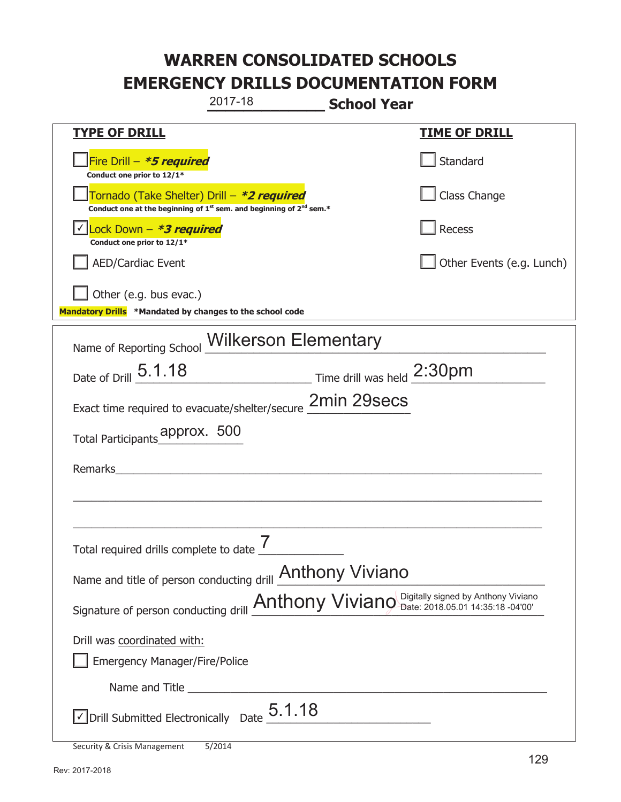|                                                                                                 | 2017-18                                                                                     | <b>School Year</b> |                           |
|-------------------------------------------------------------------------------------------------|---------------------------------------------------------------------------------------------|--------------------|---------------------------|
| <b>TYPE OF DRILL</b>                                                                            |                                                                                             |                    | <u>TIME OF DRILL</u>      |
| Fire Drill - *5 required<br>Conduct one prior to 12/1*                                          |                                                                                             |                    | Standard                  |
| Tornado (Take Shelter) Drill – *2 required                                                      | Conduct one at the beginning of 1 <sup>st</sup> sem. and beginning of 2 <sup>nd</sup> sem.* |                    | Class Change              |
| √  <mark>Lock Down – <i>*<b>3 required</b></i></mark><br>Conduct one prior to 12/1*             |                                                                                             |                    | Recess                    |
| <b>AED/Cardiac Event</b>                                                                        |                                                                                             |                    | Other Events (e.g. Lunch) |
| Other (e.g. bus evac.)<br>Mandatory Drills *Mandated by changes to the school code              |                                                                                             |                    |                           |
| Name of Reporting School Wilkerson Elementary                                                   |                                                                                             |                    |                           |
| Date of Drill 5.1.18                                                                            | Time drill was held 2:30pm                                                                  |                    |                           |
| Exact time required to evacuate/shelter/secure 2min 29secs                                      |                                                                                             |                    |                           |
| Total Participants_pprox. 500                                                                   |                                                                                             |                    |                           |
| Remarks                                                                                         |                                                                                             |                    |                           |
|                                                                                                 |                                                                                             |                    |                           |
| Total required drills complete to date $\frac{I}{I}$                                            |                                                                                             |                    |                           |
| Name and title of person conducting drill <b>Anthony Viviano</b>                                |                                                                                             |                    |                           |
| Signature of person conducting drill <b>Anthony Viviano</b> Digitally signed by Anthony Viviano |                                                                                             |                    |                           |
| Drill was coordinated with:                                                                     |                                                                                             |                    |                           |
| <b>Emergency Manager/Fire/Police</b>                                                            |                                                                                             |                    |                           |
|                                                                                                 |                                                                                             |                    |                           |
| $\vee$ Drill Submitted Electronically Date $5.1.18$                                             |                                                                                             |                    |                           |
| Security & Crisis Management                                                                    | 5/2014                                                                                      |                    |                           |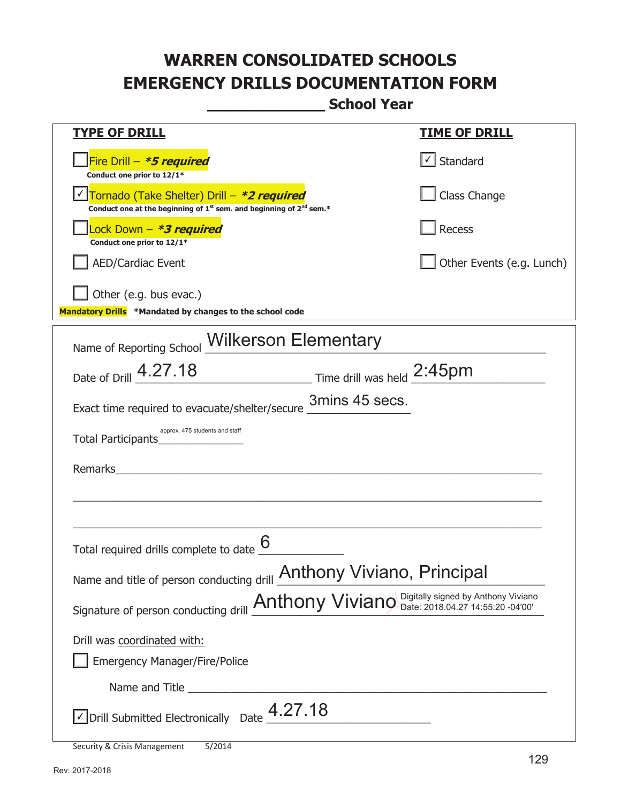**\_\_\_\_\_\_\_\_\_\_\_\_\_ School Year** 

| <b>TYPE OF DRILL</b>                                                                                                                      | <b>TIME OF DRILL</b>              |
|-------------------------------------------------------------------------------------------------------------------------------------------|-----------------------------------|
| Fire Drill $-$ <b>*5 required</b><br>Conduct one prior to 12/1*                                                                           | $\lfloor \angle \rfloor$ Standard |
| Tornado (Take Shelter) Drill – *2 required<br>Conduct one at the beginning of 1 <sup>st</sup> sem. and beginning of 2 <sup>nd</sup> sem.* | Class Change                      |
| Lock Down - *3 required<br>Conduct one prior to 12/1*                                                                                     | Recess                            |
| <b>AED/Cardiac Event</b>                                                                                                                  | Other Events (e.g. Lunch)         |
| Other (e.g. bus evac.)<br>Mandatory Drills *Mandated by changes to the school code                                                        |                                   |
| Name of Reporting School Wilkerson Elementary                                                                                             |                                   |
| Date of Drill 4.27.18<br>Time drill was held 2:45pm                                                                                       |                                   |
| Exact time required to evacuate/shelter/secure 3mins 45 secs.                                                                             |                                   |
| approx. 475 students and staff<br>Total Participants Total Participants                                                                   |                                   |
| Remarks<br><u> 1980 - Jan Barnett, fransk politiker (d. 1980)</u>                                                                         |                                   |
|                                                                                                                                           |                                   |
| Total required drills complete to date                                                                                                    |                                   |
| Name and title of person conducting drill <b>Anthony Viviano</b> , Principal                                                              |                                   |
| Signature of person conducting drill <b>Anthony Viviano</b> Digitally signed by Anthony Viviano                                           |                                   |
| Drill was coordinated with:                                                                                                               |                                   |
| <b>Emergency Manager/Fire/Police</b>                                                                                                      |                                   |
|                                                                                                                                           |                                   |
| $\vee$ Drill Submitted Electronically Date $\frac{4.27.18}{2}$                                                                            |                                   |

Security & Crisis Management 5/2014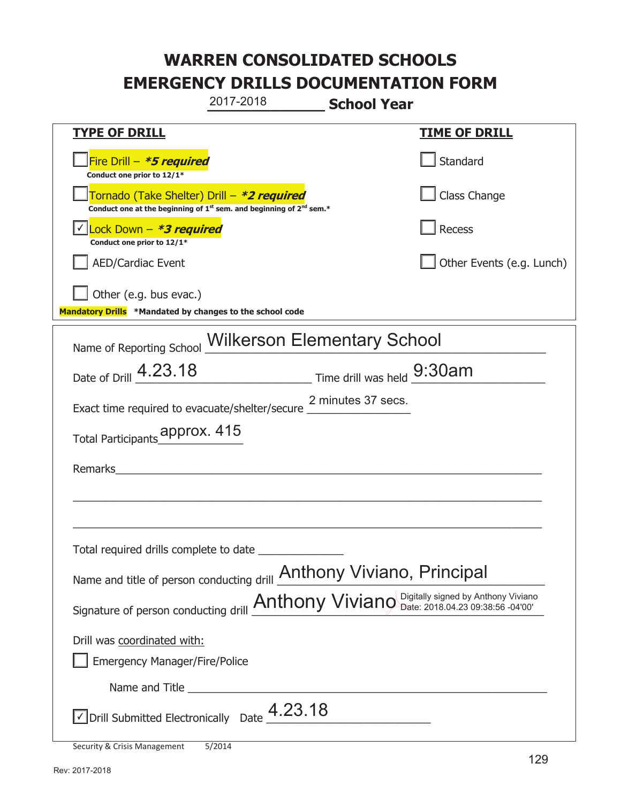**\_\_\_\_\_\_\_\_\_\_\_\_\_ School Year TYPE OF DRILL TIME OF DRILL**  侊Fire Drill – **\*5 required Conduct one prior to 12/1\* Standard** 侊Tornado (Take Shelter) Drill – **\*2 required Conduct one at the beginning of 1<sup>st</sup> sem. and beginning of 2<sup>nd</sup> sem.\*** Class Change 侊Lock Down – **\*3 required** ✔ **Conduct one prior to 12/1\* Recess** AED/Cardiac Event and the contract of the contract of the Contract of Contract of Contract of Contract of Contract of Contract of Contract of Contract of Contract of Contract of Contract of Contract of Contract of Contract Other (e.g. bus evac.) **Mandatory Drills \*Mandated by changes to the school code**  Name of Reporting School Wilkerson Elementary School Date of Drill  $4.23.18$  Time drill was held  $9.30$ am Exact time required to evacuate/shelter/secure 2 minutes 37 secs. Total Participants approx. 415 Remarks  $\_$  , and the set of the set of the set of the set of the set of the set of the set of the set of the set of the set of the set of the set of the set of the set of the set of the set of the set of the set of the set of th  $\_$  , and the set of the set of the set of the set of the set of the set of the set of the set of the set of the set of the set of the set of the set of the set of the set of the set of the set of the set of the set of th Total required drills complete to date \_\_\_\_\_\_\_\_\_\_\_\_\_\_ Name and title of person conducting drill **Anthony Viviano**, Principal Signature of person conducting drill  $\Delta$ nthony Viviano Digitally signed by Anthony Viviano Signature of person conducting drill Drill was coordinated with: ܆ Emergency Manager/Fire/Police Name and Title **Example 20**  $\sqrt{2}$  Drill Submitted Electronically Date  $4.23.18$ 2017-2018

Security & Crisis Management 5/2014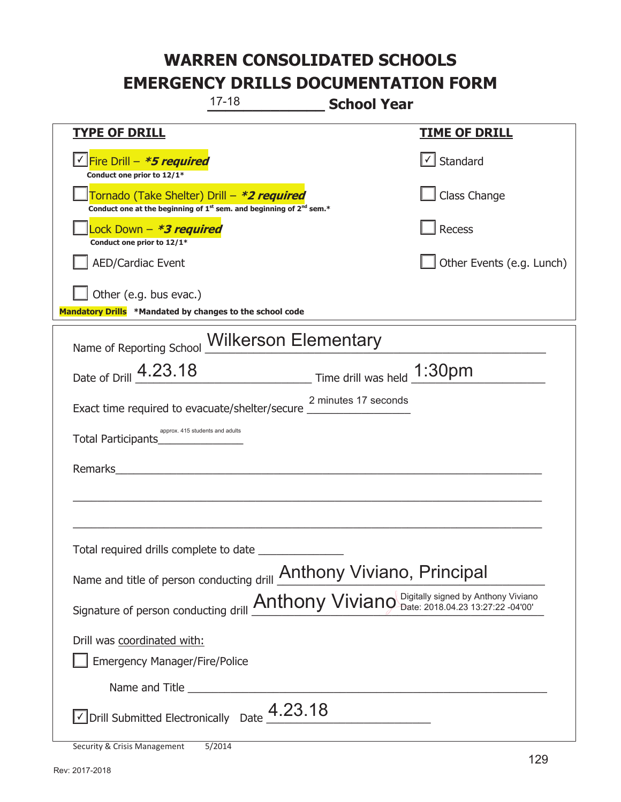| $17 - 18$                                                                                                                                 | <b>School Year</b>                                                                              |
|-------------------------------------------------------------------------------------------------------------------------------------------|-------------------------------------------------------------------------------------------------|
| <b>TYPE OF DRILL</b>                                                                                                                      | <b>TIME OF DRILL</b>                                                                            |
| Fire Drill - *5 required<br>Conduct one prior to 12/1*                                                                                    | √ Standard                                                                                      |
| Tornado (Take Shelter) Drill - *2 required<br>Conduct one at the beginning of 1 <sup>st</sup> sem. and beginning of 2 <sup>nd</sup> sem.* | Class Change                                                                                    |
| ock Down – <b>*3 required</b><br>Conduct one prior to 12/1*                                                                               | Recess                                                                                          |
| <b>AED/Cardiac Event</b>                                                                                                                  | Other Events (e.g. Lunch)                                                                       |
| Other (e.g. bus evac.)<br>Mandatory Drills *Mandated by changes to the school code                                                        |                                                                                                 |
| Name of Reporting School Wilkerson Elementary                                                                                             |                                                                                                 |
| Date of Drill 4.23.18                                                                                                                     | $\frac{1:30 \text{pm}}{2}$ Time drill was held $\frac{1:30 \text{pm}}{2}$                       |
| Exact time required to evacuate/shelter/secure ___________                                                                                | 2 minutes 17 seconds                                                                            |
| approx. 415 students and adults                                                                                                           |                                                                                                 |
| Remarks                                                                                                                                   |                                                                                                 |
|                                                                                                                                           |                                                                                                 |
| Total required drills complete to date                                                                                                    |                                                                                                 |
| Name and title of person conducting drill <b>Anthony Viviano</b> , Principal                                                              |                                                                                                 |
|                                                                                                                                           | Signature of person conducting drill <b>Anthony Viviano</b> Digitally signed by Anthony Viviano |
| Drill was coordinated with:                                                                                                               |                                                                                                 |
| <b>Emergency Manager/Fire/Police</b>                                                                                                      |                                                                                                 |
|                                                                                                                                           |                                                                                                 |
| Drill Submitted Electronically Date $\frac{4.23.18}{\sqrt{2}}$                                                                            |                                                                                                 |
| Security & Crisis Management<br>5/2014                                                                                                    |                                                                                                 |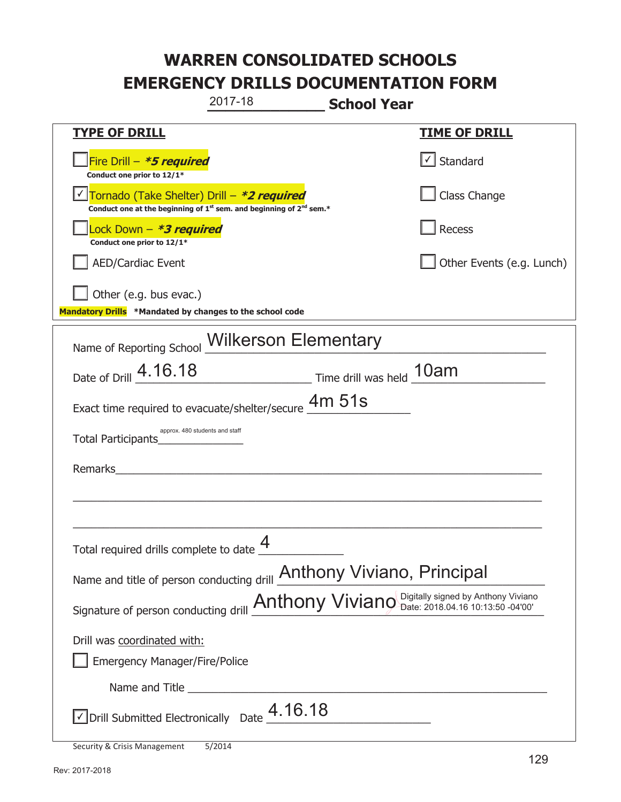|                                                                                                 | 2017-18                                                                                     | <b>School Year</b> |                           |
|-------------------------------------------------------------------------------------------------|---------------------------------------------------------------------------------------------|--------------------|---------------------------|
| <b>TYPE OF DRILL</b>                                                                            |                                                                                             |                    | <u>TIME OF DRILL</u>      |
| Fire Drill - *5 required<br>Conduct one prior to 12/1*                                          |                                                                                             |                    | Standard                  |
| Tornado (Take Shelter) Drill – *2 required                                                      | Conduct one at the beginning of 1 <sup>st</sup> sem. and beginning of 2 <sup>nd</sup> sem.* |                    | Class Change              |
| Lock Down – <b>*3 required</b><br>Conduct one prior to 12/1*                                    |                                                                                             |                    | Recess                    |
| <b>AED/Cardiac Event</b>                                                                        |                                                                                             |                    | Other Events (e.g. Lunch) |
| Other (e.g. bus evac.)<br>Mandatory Drills *Mandated by changes to the school code              |                                                                                             |                    |                           |
|                                                                                                 |                                                                                             |                    |                           |
| Name of Reporting School Wilkerson Elementary                                                   |                                                                                             |                    |                           |
| Date of Drill 4.16.18                                                                           | Time drill was held 10am                                                                    |                    |                           |
| Exact time required to evacuate/shelter/secure $\frac{4m}{15}$ 51s                              |                                                                                             |                    |                           |
| approx. 480 students and staff<br>Total Participants                                            |                                                                                             |                    |                           |
| Remarks                                                                                         |                                                                                             |                    |                           |
|                                                                                                 |                                                                                             |                    |                           |
|                                                                                                 |                                                                                             |                    |                           |
| Total required drills complete to date $\frac{4}{1}$                                            | 4                                                                                           |                    |                           |
| Name and title of person conducting drill <b>Anthony Viviano</b> , Principal                    |                                                                                             |                    |                           |
| Signature of person conducting drill <b>Anthony Viviano</b> Digitally signed by Anthony Viviano |                                                                                             |                    |                           |
| Drill was coordinated with:                                                                     |                                                                                             |                    |                           |
| <b>Emergency Manager/Fire/Police</b>                                                            |                                                                                             |                    |                           |
|                                                                                                 |                                                                                             |                    |                           |
| $\vee$ Drill Submitted Electronically Date $\stackrel{\textstyle 4.16.18}{\textstyle \cdots}$   |                                                                                             |                    |                           |
|                                                                                                 |                                                                                             |                    |                           |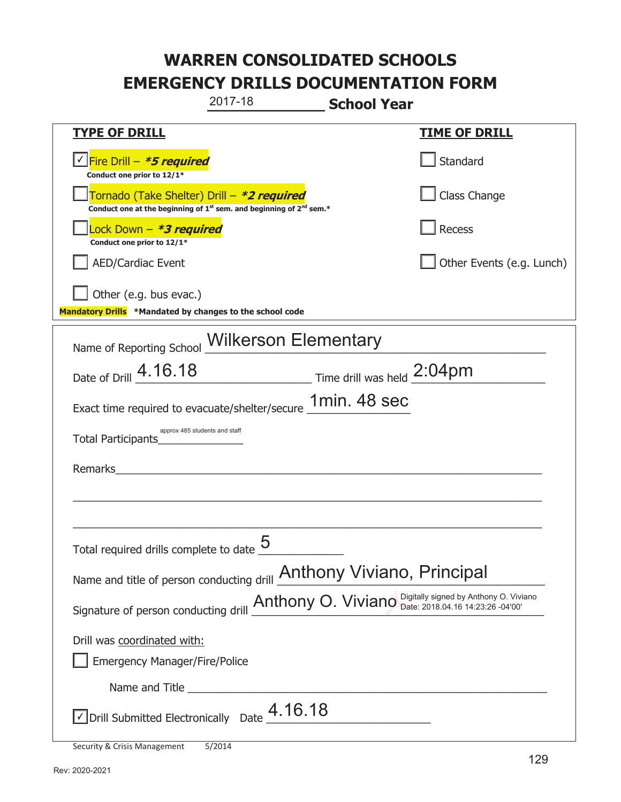|                                                                                    | 2017-18                                                                                     | <b>School Year</b>                                                                                    |
|------------------------------------------------------------------------------------|---------------------------------------------------------------------------------------------|-------------------------------------------------------------------------------------------------------|
| <b>TYPE OF DRILL</b>                                                               |                                                                                             | <u>TIME OF DRILL</u>                                                                                  |
| V Fire Drill - *5 required<br>Conduct one prior to 12/1*                           |                                                                                             | Standard                                                                                              |
| Tornado (Take Shelter) Drill – *2 required                                         | Conduct one at the beginning of 1 <sup>st</sup> sem. and beginning of 2 <sup>nd</sup> sem.* | Class Change                                                                                          |
| Lock Down - *3 required<br>Conduct one prior to 12/1*                              |                                                                                             | Recess                                                                                                |
| <b>AED/Cardiac Event</b>                                                           |                                                                                             | Other Events (e.g. Lunch)                                                                             |
| Other (e.g. bus evac.)<br>Mandatory Drills *Mandated by changes to the school code |                                                                                             |                                                                                                       |
| Name of Reporting School Wilkerson Elementary                                      |                                                                                             |                                                                                                       |
| Date of Drill 4.16.18                                                              |                                                                                             | Time drill was held 2:04pm                                                                            |
| Exact time required to evacuate/shelter/secure 1min. 48 sec                        |                                                                                             |                                                                                                       |
| approx 485 students and staff<br>Total Participants <b>Total</b>                   |                                                                                             |                                                                                                       |
| Remarks                                                                            | <u> 1989 - John Stein, Amerikaansk politiker (</u>                                          |                                                                                                       |
|                                                                                    |                                                                                             |                                                                                                       |
| Total required drills complete to date $\underline{\mathsf{5}}$                    |                                                                                             |                                                                                                       |
|                                                                                    |                                                                                             | Name and title of person conducting drill <b>Anthony Viviano</b> , Principal                          |
|                                                                                    |                                                                                             | Signature of person conducting drill <b>Anthony O. Viviano</b> Digitally signed by Anthony O. Viviano |
| Drill was coordinated with:                                                        |                                                                                             |                                                                                                       |
| <b>Emergency Manager/Fire/Police</b>                                               |                                                                                             |                                                                                                       |
|                                                                                    |                                                                                             |                                                                                                       |
| $\vee$ Drill Submitted Electronically Date $\_4.16.18$                             |                                                                                             |                                                                                                       |
| Security & Crisis Management                                                       | 5/2014                                                                                      |                                                                                                       |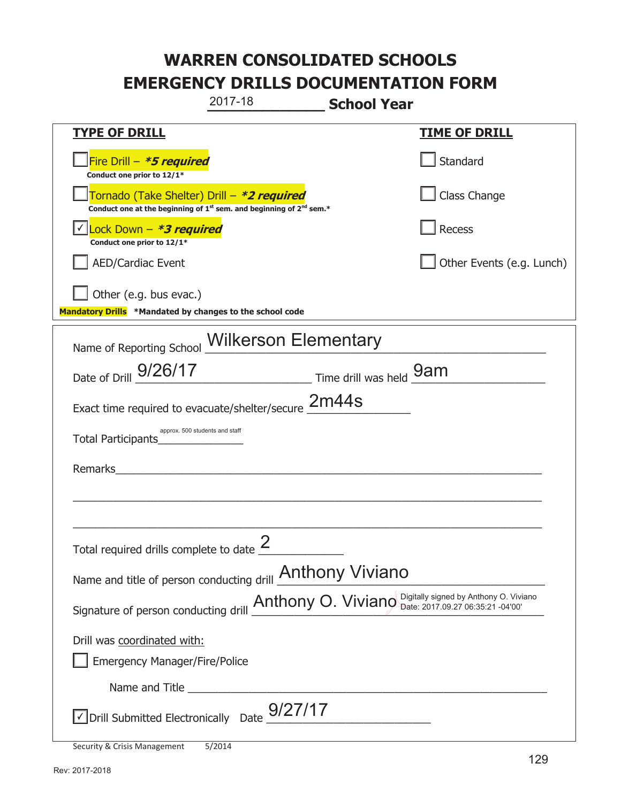|                                                                                                                                           | 2017-18                                                                                                               | <b>School Year</b> |                           |
|-------------------------------------------------------------------------------------------------------------------------------------------|-----------------------------------------------------------------------------------------------------------------------|--------------------|---------------------------|
| <b>TYPE OF DRILL</b>                                                                                                                      |                                                                                                                       |                    | <u>TIME OF DRILL</u>      |
| Fire Drill - *5 required<br>Conduct one prior to 12/1*                                                                                    |                                                                                                                       |                    | Standard                  |
| Tornado (Take Shelter) Drill - *2 required<br>Conduct one at the beginning of 1 <sup>st</sup> sem. and beginning of 2 <sup>nd</sup> sem.* |                                                                                                                       |                    | Class Change              |
| <u> √ Lock Down – <b>*<i>3 required</i></b></u><br>Conduct one prior to 12/1*                                                             |                                                                                                                       |                    | Recess                    |
| <b>AED/Cardiac Event</b>                                                                                                                  |                                                                                                                       |                    | Other Events (e.g. Lunch) |
| Other (e.g. bus evac.)<br>Mandatory Drills *Mandated by changes to the school code                                                        |                                                                                                                       |                    |                           |
| Name of Reporting School Wilkerson Elementary                                                                                             |                                                                                                                       |                    |                           |
| Date of Drill 9/26/17                                                                                                                     | Time drill was held <b>9am</b>                                                                                        |                    |                           |
| Exact time required to evacuate/shelter/secure 2m44s                                                                                      |                                                                                                                       |                    |                           |
| approx. 500 students and staff<br>Total Participants                                                                                      |                                                                                                                       |                    |                           |
| Remarks                                                                                                                                   | <u> 1980 - Jan Stern Stern Stern Stern Stern Stern Stern Stern Stern Stern Stern Stern Stern Stern Stern Stern St</u> |                    |                           |
|                                                                                                                                           |                                                                                                                       |                    |                           |
| Total required drills complete to date $\leq$                                                                                             |                                                                                                                       |                    |                           |
| Name and title of person conducting drill <b>Anthony Viviano</b>                                                                          |                                                                                                                       |                    |                           |
| Signature of person conducting drill <b>Anthony O. Viviano</b> Digitally signed by Anthony O. Viviano                                     |                                                                                                                       |                    |                           |
| Drill was coordinated with:                                                                                                               |                                                                                                                       |                    |                           |
| <b>Emergency Manager/Fire/Police</b>                                                                                                      |                                                                                                                       |                    |                           |
|                                                                                                                                           |                                                                                                                       |                    |                           |
| $\sqrt{\text{Drill}}$ Submitted Electronically Date $\frac{9}{27}{17}$                                                                    |                                                                                                                       |                    |                           |
|                                                                                                                                           | F/2011                                                                                                                |                    |                           |